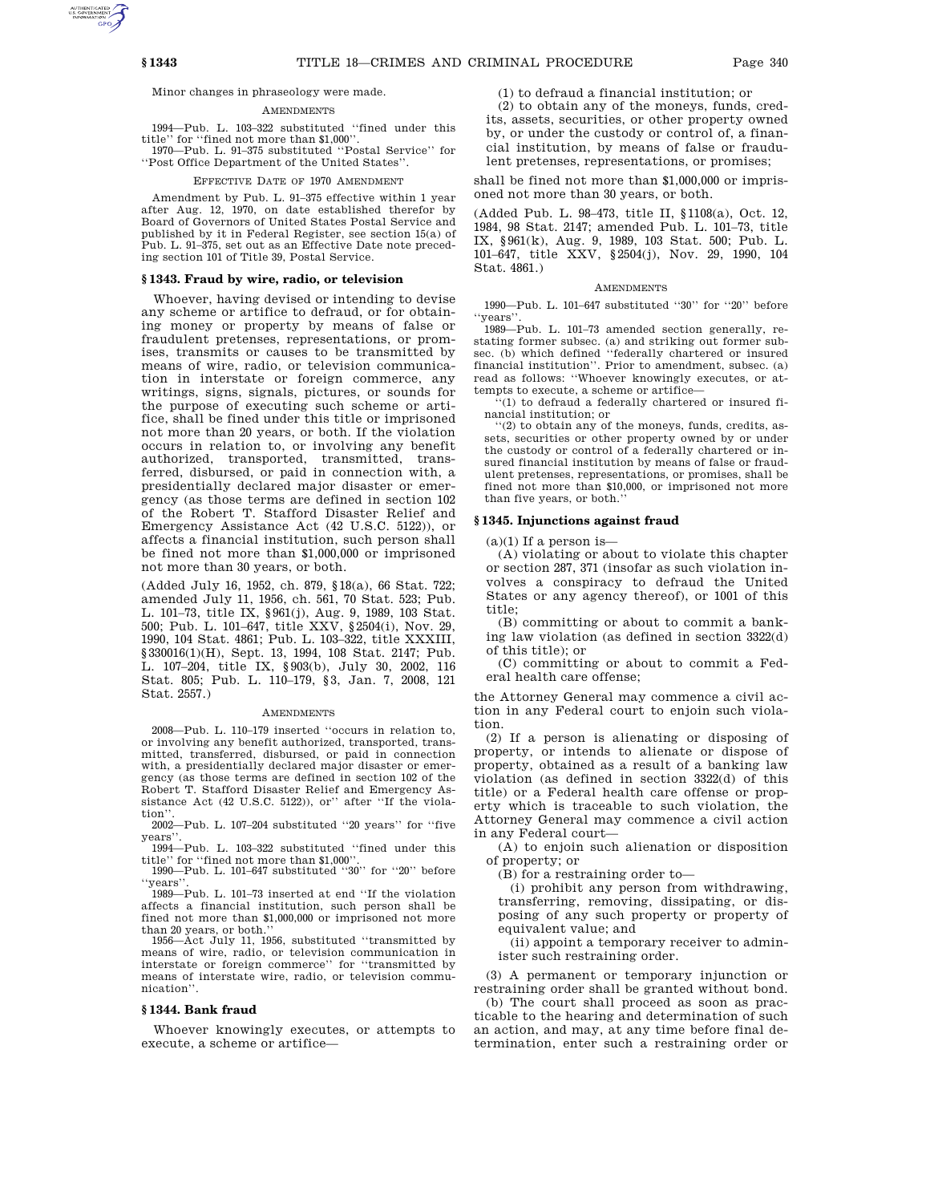Minor changes in phraseology were made.

# AMENDMENTS

1994—Pub. L. 103–322 substituted ''fined under this title'' for ''fined not more than \$1,000''. 1970—Pub. L. 91–375 substituted ''Postal Service'' for

''Post Office Department of the United States''.

## EFFECTIVE DATE OF 1970 AMENDMENT

Amendment by Pub. L. 91–375 effective within 1 year after Aug. 12, 1970, on date established therefor by Board of Governors of United States Postal Service and published by it in Federal Register, see section 15(a) of Pub. L. 91–375, set out as an Effective Date note preceding section 101 of Title 39, Postal Service.

## **§ 1343. Fraud by wire, radio, or television**

Whoever, having devised or intending to devise any scheme or artifice to defraud, or for obtaining money or property by means of false or fraudulent pretenses, representations, or promises, transmits or causes to be transmitted by means of wire, radio, or television communication in interstate or foreign commerce, any writings, signs, signals, pictures, or sounds for the purpose of executing such scheme or artifice, shall be fined under this title or imprisoned not more than 20 years, or both. If the violation occurs in relation to, or involving any benefit authorized, transported, transmitted, transferred, disbursed, or paid in connection with, a presidentially declared major disaster or emergency (as those terms are defined in section 102 of the Robert T. Stafford Disaster Relief and Emergency Assistance Act (42 U.S.C. 5122)), or affects a financial institution, such person shall be fined not more than \$1,000,000 or imprisoned not more than 30 years, or both.

(Added July 16, 1952, ch. 879, §18(a), 66 Stat. 722; amended July 11, 1956, ch. 561, 70 Stat. 523; Pub. L. 101–73, title IX, §961(j), Aug. 9, 1989, 103 Stat. 500; Pub. L. 101–647, title XXV, §2504(i), Nov. 29, 1990, 104 Stat. 4861; Pub. L. 103–322, title XXXIII, §330016(1)(H), Sept. 13, 1994, 108 Stat. 2147; Pub. L. 107–204, title IX, §903(b), July 30, 2002, 116 Stat. 805; Pub. L. 110–179, §3, Jan. 7, 2008, 121 Stat. 2557.)

## **AMENDMENTS**

2008—Pub. L. 110–179 inserted ''occurs in relation to, or involving any benefit authorized, transported, transmitted, transferred, disbursed, or paid in connection with, a presidentially declared major disaster or emergency (as those terms are defined in section 102 of the Robert T. Stafford Disaster Relief and Emergency Assistance Act (42 U.S.C. 5122)), or" after "If the violation'

2002—Pub. L. 107–204 substituted ''20 years'' for ''five years''.

1994—Pub. L. 103–322 substituted ''fined under this title'' for ''fined not more than \$1,000''.

1990—Pub. L. 101–647 substituted ''30'' for ''20'' before ''years''.

1989—Pub. L. 101–73 inserted at end ''If the violation affects a financial institution, such person shall be fined not more than \$1,000,000 or imprisoned not more than 20 years, or both.''

1956—Act July 11, 1956, substituted ''transmitted by means of wire, radio, or television communication in interstate or foreign commerce'' for ''transmitted by means of interstate wire, radio, or television communication''.

## **§ 1344. Bank fraud**

Whoever knowingly executes, or attempts to execute, a scheme or artifice(1) to defraud a financial institution; or

(2) to obtain any of the moneys, funds, credits, assets, securities, or other property owned by, or under the custody or control of, a financial institution, by means of false or fraudulent pretenses, representations, or promises;

shall be fined not more than \$1,000,000 or imprisoned not more than 30 years, or both.

(Added Pub. L. 98–473, title II, §1108(a), Oct. 12, 1984, 98 Stat. 2147; amended Pub. L. 101–73, title IX, §961(k), Aug. 9, 1989, 103 Stat. 500; Pub. L. 101–647, title XXV, §2504(j), Nov. 29, 1990, 104 Stat. 4861.)

## AMENDMENTS

1990—Pub. L. 101–647 substituted ''30'' for ''20'' before ''years''.

1989—Pub. L. 101–73 amended section generally, restating former subsec. (a) and striking out former subsec. (b) which defined ''federally chartered or insured financial institution''. Prior to amendment, subsec. (a) read as follows: ''Whoever knowingly executes, or attempts to execute, a scheme or artifice—

''(1) to defraud a federally chartered or insured financial institution; or

''(2) to obtain any of the moneys, funds, credits, assets, securities or other property owned by or under the custody or control of a federally chartered or insured financial institution by means of false or fraudulent pretenses, representations, or promises, shall be fined not more than \$10,000, or imprisoned not more than five years, or both.''

## **§ 1345. Injunctions against fraud**

 $(a)(1)$  If a person is-

(A) violating or about to violate this chapter or section 287, 371 (insofar as such violation involves a conspiracy to defraud the United States or any agency thereof), or 1001 of this title;

(B) committing or about to commit a banking law violation (as defined in section 3322(d) of this title); or

(C) committing or about to commit a Federal health care offense;

the Attorney General may commence a civil action in any Federal court to enjoin such violation.

(2) If a person is alienating or disposing of property, or intends to alienate or dispose of property, obtained as a result of a banking law violation (as defined in section 3322(d) of this title) or a Federal health care offense or property which is traceable to such violation, the Attorney General may commence a civil action in any Federal court—

(A) to enjoin such alienation or disposition of property; or

(B) for a restraining order to—

(i) prohibit any person from withdrawing, transferring, removing, dissipating, or disposing of any such property or property of equivalent value; and

(ii) appoint a temporary receiver to administer such restraining order.

(3) A permanent or temporary injunction or restraining order shall be granted without bond.

(b) The court shall proceed as soon as practicable to the hearing and determination of such an action, and may, at any time before final determination, enter such a restraining order or